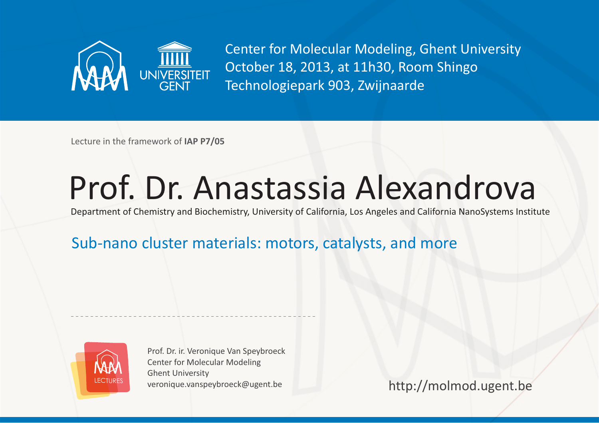

Center for Molecular Modeling, Ghent University October 18, 2013, at 11h30, Room Shingo Technologiepark 903, Zwijnaarde

Lecture in the framework of **IAP P7/05** 

## Prof. Dr. Anastassia Alexandrova

Department of Chemistry and Biochemistry, University of California, Los Angeles and California NanoSystems Institute

## Sub-nano cluster materials: motors, catalysts, and more



Prof. Dr. ir. Veronique Van Speybroeck Center for Molecular Modeling Ghent University veronique.vanspeybroeck@ugent.be

http://molmod.ugent.be